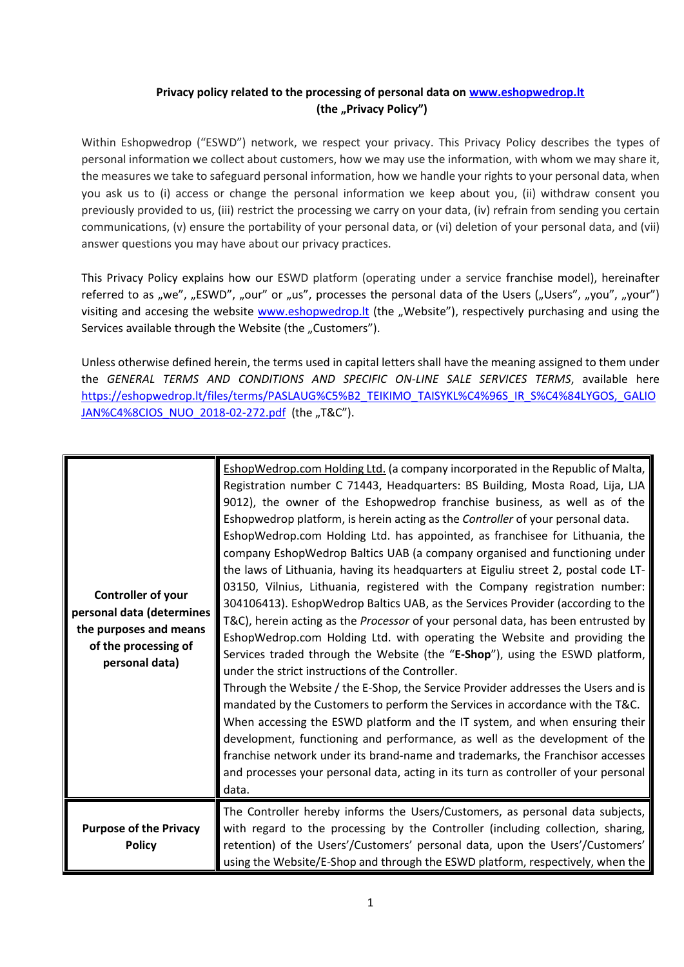## **Privacy policy related to the processing of personal data on [www.eshopwedrop.lt](http://www.eshopwedrop.lt/) (the "Privacy Policy")**

Within Eshopwedrop ("ESWD") network, we respect your privacy. This Privacy Policy describes the types of personal information we collect about customers, how we may use the information, with whom we may share it, the measures we take to safeguard personal information, how we handle your rights to your personal data, when you ask us to (i) access or change the personal information we keep about you, (ii) withdraw consent you previously provided to us, (iii) restrict the processing we carry on your data, (iv) refrain from sending you certain communications, (v) ensure the portability of your personal data, or (vi) deletion of your personal data, and (vii) answer questions you may have about our privacy practices.

This Privacy Policy explains how our ESWD platform (operating under a service franchise model), hereinafter referred to as "we", "ESWD", "our" or "us", processes the personal data of the Users ("Users", "you", "your") visiting and accesing the website www.eshopwedrop.It (the "Website"), respectively purchasing and using the Services available through the Website (the "Customers").

Unless otherwise defined herein, the terms used in capital letters shall have the meaning assigned to them under the *GENERAL TERMS AND CONDITIONS AND SPECIFIC ON-LINE SALE SERVICES TERMS*, available here [https://eshopwedrop.lt/files/terms/PASLAUG%C5%B2\\_TEIKIMO\\_TAISYKL%C4%96S\\_IR\\_S%C4%84LYGOS,\\_GALIO](https://eshopwedrop.lt/files/terms/PASLAUG%C5%B2_TEIKIMO_TAISYKL%C4%96S_IR_S%C4%84LYGOS,_GALIOJAN%C4%8CIOS_NUO_2018-02-272.pdf) [JAN%C4%8CIOS\\_NUO\\_2018-02-272.pdf](https://eshopwedrop.lt/files/terms/PASLAUG%C5%B2_TEIKIMO_TAISYKL%C4%96S_IR_S%C4%84LYGOS,_GALIOJAN%C4%8CIOS_NUO_2018-02-272.pdf) (the "T&C").

| Controller of your<br>personal data (determines<br>the purposes and means<br>of the processing of<br>personal data) | EshopWedrop.com Holding Ltd. (a company incorporated in the Republic of Malta,<br>Registration number C 71443, Headquarters: BS Building, Mosta Road, Lija, LJA<br>9012), the owner of the Eshopwedrop franchise business, as well as of the<br>Eshopwedrop platform, is herein acting as the Controller of your personal data.<br>EshopWedrop.com Holding Ltd. has appointed, as franchisee for Lithuania, the<br>company EshopWedrop Baltics UAB (a company organised and functioning under<br>the laws of Lithuania, having its headquarters at Eiguliu street 2, postal code LT-<br>03150, Vilnius, Lithuania, registered with the Company registration number:<br>304106413). EshopWedrop Baltics UAB, as the Services Provider (according to the<br>T&C), herein acting as the Processor of your personal data, has been entrusted by<br>EshopWedrop.com Holding Ltd. with operating the Website and providing the<br>Services traded through the Website (the "E-Shop"), using the ESWD platform,<br>under the strict instructions of the Controller.<br>Through the Website / the E-Shop, the Service Provider addresses the Users and is<br>mandated by the Customers to perform the Services in accordance with the T&C.<br>When accessing the ESWD platform and the IT system, and when ensuring their<br>development, functioning and performance, as well as the development of the<br>franchise network under its brand-name and trademarks, the Franchisor accesses<br>and processes your personal data, acting in its turn as controller of your personal<br>data. |
|---------------------------------------------------------------------------------------------------------------------|------------------------------------------------------------------------------------------------------------------------------------------------------------------------------------------------------------------------------------------------------------------------------------------------------------------------------------------------------------------------------------------------------------------------------------------------------------------------------------------------------------------------------------------------------------------------------------------------------------------------------------------------------------------------------------------------------------------------------------------------------------------------------------------------------------------------------------------------------------------------------------------------------------------------------------------------------------------------------------------------------------------------------------------------------------------------------------------------------------------------------------------------------------------------------------------------------------------------------------------------------------------------------------------------------------------------------------------------------------------------------------------------------------------------------------------------------------------------------------------------------------------------------------------------------------------------------------|
| <b>Purpose of the Privacy</b><br><b>Policy</b>                                                                      | The Controller hereby informs the Users/Customers, as personal data subjects,<br>with regard to the processing by the Controller (including collection, sharing,<br>retention) of the Users'/Customers' personal data, upon the Users'/Customers'<br>using the Website/E-Shop and through the ESWD platform, respectively, when the                                                                                                                                                                                                                                                                                                                                                                                                                                                                                                                                                                                                                                                                                                                                                                                                                                                                                                                                                                                                                                                                                                                                                                                                                                                |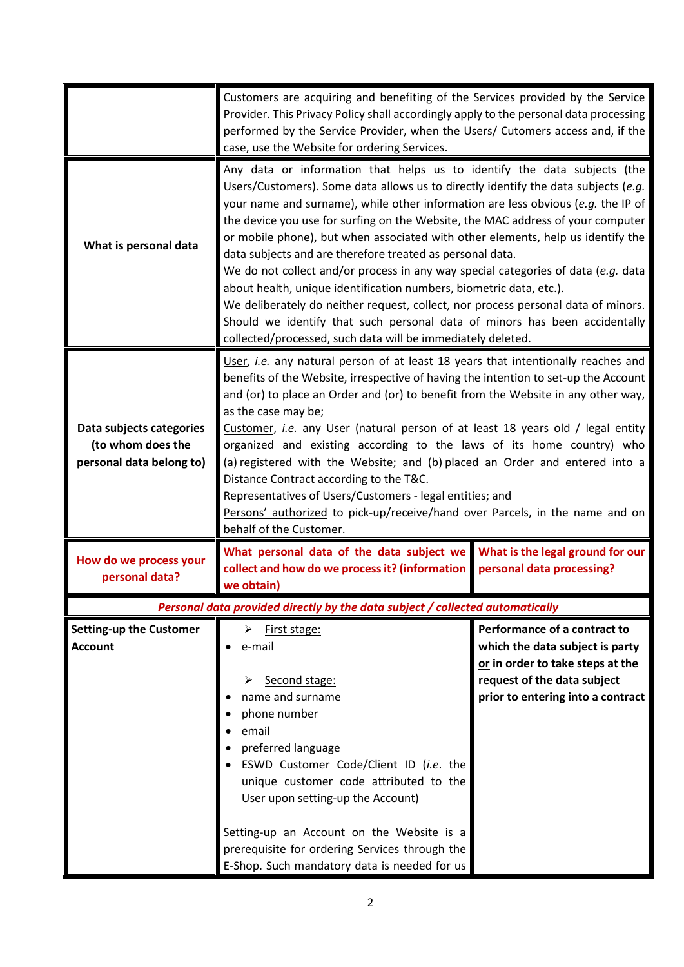|                                                                           | Customers are acquiring and benefiting of the Services provided by the Service<br>Provider. This Privacy Policy shall accordingly apply to the personal data processing<br>performed by the Service Provider, when the Users/ Cutomers access and, if the<br>case, use the Website for ordering Services.                                                                                                                                                                                                                                                                                                                                                                                                                                                                                                                                                                           |                                                                                                                                                                         |
|---------------------------------------------------------------------------|-------------------------------------------------------------------------------------------------------------------------------------------------------------------------------------------------------------------------------------------------------------------------------------------------------------------------------------------------------------------------------------------------------------------------------------------------------------------------------------------------------------------------------------------------------------------------------------------------------------------------------------------------------------------------------------------------------------------------------------------------------------------------------------------------------------------------------------------------------------------------------------|-------------------------------------------------------------------------------------------------------------------------------------------------------------------------|
| What is personal data                                                     | Any data or information that helps us to identify the data subjects (the<br>Users/Customers). Some data allows us to directly identify the data subjects (e.g.<br>your name and surname), while other information are less obvious (e.g. the IP of<br>the device you use for surfing on the Website, the MAC address of your computer<br>or mobile phone), but when associated with other elements, help us identify the<br>data subjects and are therefore treated as personal data.<br>We do not collect and/or process in any way special categories of data (e.g. data<br>about health, unique identification numbers, biometric data, etc.).<br>We deliberately do neither request, collect, nor process personal data of minors.<br>Should we identify that such personal data of minors has been accidentally<br>collected/processed, such data will be immediately deleted. |                                                                                                                                                                         |
| Data subjects categories<br>(to whom does the<br>personal data belong to) | User, i.e. any natural person of at least 18 years that intentionally reaches and<br>benefits of the Website, irrespective of having the intention to set-up the Account<br>and (or) to place an Order and (or) to benefit from the Website in any other way,<br>as the case may be;<br>Customer, i.e. any User (natural person of at least 18 years old / legal entity<br>organized and existing according to the laws of its home country) who<br>(a) registered with the Website; and (b) placed an Order and entered into a<br>Distance Contract according to the T&C.<br>Representatives of Users/Customers - legal entities; and<br>Persons' authorized to pick-up/receive/hand over Parcels, in the name and on<br>behalf of the Customer.                                                                                                                                   |                                                                                                                                                                         |
| How do we process your<br>personal data?                                  | What personal data of the data subject we What is the legal ground for our<br>collect and how do we process it? (information personal data processing?<br>we obtain)                                                                                                                                                                                                                                                                                                                                                                                                                                                                                                                                                                                                                                                                                                                |                                                                                                                                                                         |
|                                                                           | Personal data provided directly by the data subject / collected automatically                                                                                                                                                                                                                                                                                                                                                                                                                                                                                                                                                                                                                                                                                                                                                                                                       |                                                                                                                                                                         |
| <b>Setting-up the Customer</b><br><b>Account</b>                          | ➤<br><u>First stage:</u><br>e-mail<br>Second stage:<br>➤<br>name and surname<br>phone number<br>email<br>preferred language<br>ESWD Customer Code/Client ID (i.e. the<br>unique customer code attributed to the<br>User upon setting-up the Account)                                                                                                                                                                                                                                                                                                                                                                                                                                                                                                                                                                                                                                | Performance of a contract to<br>which the data subject is party<br>or in order to take steps at the<br>request of the data subject<br>prior to entering into a contract |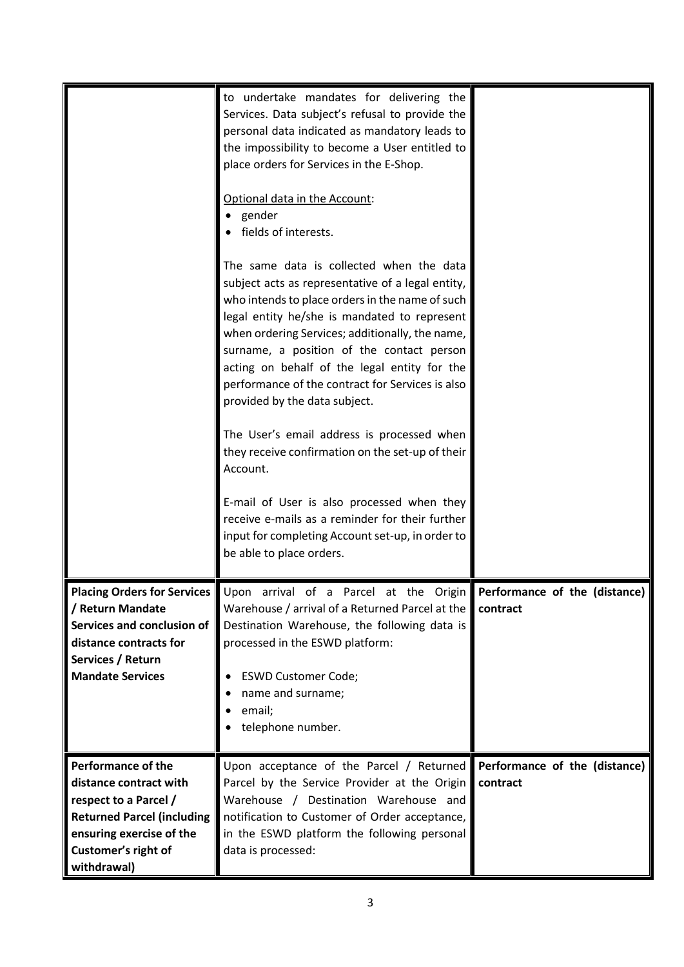|                                                                                                                                                                                     | to undertake mandates for delivering the<br>Services. Data subject's refusal to provide the<br>personal data indicated as mandatory leads to<br>the impossibility to become a User entitled to<br>place orders for Services in the E-Shop.<br>Optional data in the Account:<br>gender<br>fields of interests.<br>The same data is collected when the data<br>subject acts as representative of a legal entity,<br>who intends to place orders in the name of such<br>legal entity he/she is mandated to represent<br>when ordering Services; additionally, the name,<br>surname, a position of the contact person<br>acting on behalf of the legal entity for the<br>performance of the contract for Services is also<br>provided by the data subject.<br>The User's email address is processed when<br>they receive confirmation on the set-up of their<br>Account.<br>E-mail of User is also processed when they<br>receive e-mails as a reminder for their further<br>input for completing Account set-up, in order to<br>be able to place orders. |                                           |
|-------------------------------------------------------------------------------------------------------------------------------------------------------------------------------------|-------------------------------------------------------------------------------------------------------------------------------------------------------------------------------------------------------------------------------------------------------------------------------------------------------------------------------------------------------------------------------------------------------------------------------------------------------------------------------------------------------------------------------------------------------------------------------------------------------------------------------------------------------------------------------------------------------------------------------------------------------------------------------------------------------------------------------------------------------------------------------------------------------------------------------------------------------------------------------------------------------------------------------------------------------|-------------------------------------------|
| <b>Placing Orders for Services</b> Upon<br>/ Return Mandate<br>Services and conclusion of<br>distance contracts for<br>Services / Return<br><b>Mandate Services</b>                 | arrival of a Parcel at the Origin Performance of the (distance)<br>Warehouse / arrival of a Returned Parcel at the contract<br>Destination Warehouse, the following data is<br>processed in the ESWD platform:<br><b>ESWD Customer Code;</b><br>name and surname;<br>email;<br>telephone number.                                                                                                                                                                                                                                                                                                                                                                                                                                                                                                                                                                                                                                                                                                                                                      |                                           |
| <b>Performance of the</b><br>distance contract with<br>respect to a Parcel /<br><b>Returned Parcel (including</b><br>ensuring exercise of the<br>Customer's right of<br>withdrawal) | Upon acceptance of the Parcel / Returned<br>Parcel by the Service Provider at the Origin<br>Warehouse / Destination Warehouse and<br>notification to Customer of Order acceptance,<br>in the ESWD platform the following personal<br>data is processed:                                                                                                                                                                                                                                                                                                                                                                                                                                                                                                                                                                                                                                                                                                                                                                                               | Performance of the (distance)<br>contract |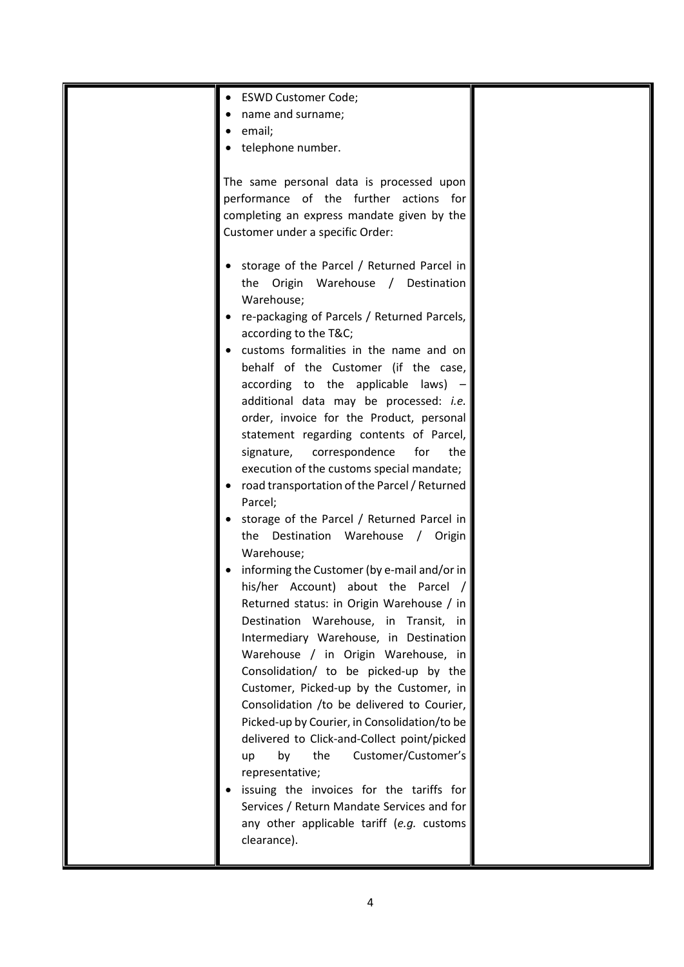| <b>ESWD Customer Code;</b>                   |  |
|----------------------------------------------|--|
| name and surname;                            |  |
| email;                                       |  |
| telephone number.                            |  |
|                                              |  |
| The same personal data is processed upon     |  |
| performance of the further actions for       |  |
|                                              |  |
| completing an express mandate given by the   |  |
| Customer under a specific Order:             |  |
|                                              |  |
| storage of the Parcel / Returned Parcel in   |  |
| the Origin Warehouse / Destination           |  |
| Warehouse;                                   |  |
| re-packaging of Parcels / Returned Parcels,  |  |
| according to the T&C                         |  |
| customs formalities in the name and on       |  |
| behalf of the Customer (if the case,         |  |
| according to the applicable laws) -          |  |
| additional data may be processed: i.e.       |  |
| order, invoice for the Product, personal     |  |
| statement regarding contents of Parcel,      |  |
| signature, correspondence<br>for<br>the      |  |
| execution of the customs special mandate;    |  |
| road transportation of the Parcel / Returned |  |
| Parcel;                                      |  |
| storage of the Parcel / Returned Parcel in   |  |
| the Destination Warehouse / Origin           |  |
| Warehouse;                                   |  |
| informing the Customer (by e-mail and/or in  |  |
| his/her Account) about the Parcel            |  |
| Returned status: in Origin Warehouse / in    |  |
| Destination Warehouse, in Transit, in        |  |
| Intermediary Warehouse, in Destination       |  |
| Warehouse / in Origin Warehouse, in          |  |
| Consolidation/ to be picked-up by the        |  |
| Customer, Picked-up by the Customer, in      |  |
| Consolidation /to be delivered to Courier,   |  |
|                                              |  |
| Picked-up by Courier, in Consolidation/to be |  |
| delivered to Click-and-Collect point/picked  |  |
| the<br>Customer/Customer's<br>by<br>up       |  |
| representative;                              |  |
| issuing the invoices for the tariffs for     |  |
| Services / Return Mandate Services and for   |  |
| any other applicable tariff (e.g. customs    |  |
| clearance).                                  |  |
|                                              |  |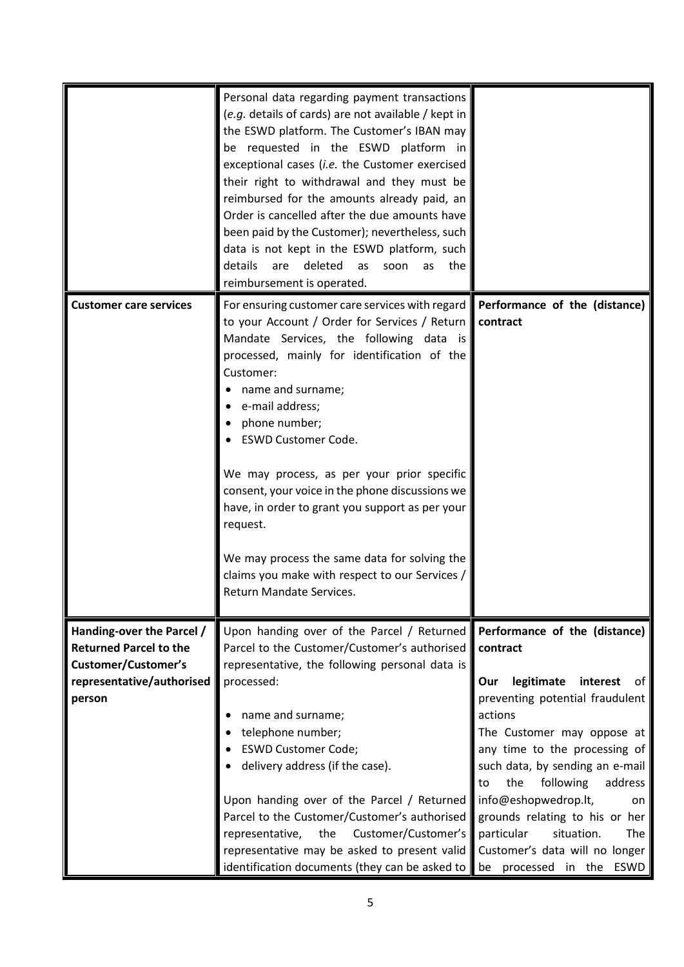|                               | Personal data regarding payment transactions<br>(e.g. details of cards) are not available / kept in<br>the ESWD platform. The Customer's IBAN may<br>be requested in the ESWD platform in<br>exceptional cases (i.e. the Customer exercised<br>their right to withdrawal and they must be<br>reimbursed for the amounts already paid, an<br>Order is cancelled after the due amounts have<br>been paid by the Customer); nevertheless, such<br>data is not kept in the ESWD platform, such<br>details<br>deleted<br>are<br>soon<br>the<br>as<br>as<br>reimbursement is operated. |                                                             |
|-------------------------------|----------------------------------------------------------------------------------------------------------------------------------------------------------------------------------------------------------------------------------------------------------------------------------------------------------------------------------------------------------------------------------------------------------------------------------------------------------------------------------------------------------------------------------------------------------------------------------|-------------------------------------------------------------|
| <b>Customer care services</b> | For ensuring customer care services with regard Performance of the (distance)                                                                                                                                                                                                                                                                                                                                                                                                                                                                                                    |                                                             |
|                               | to your Account / Order for Services / Return contract                                                                                                                                                                                                                                                                                                                                                                                                                                                                                                                           |                                                             |
|                               | Mandate Services, the following data is                                                                                                                                                                                                                                                                                                                                                                                                                                                                                                                                          |                                                             |
|                               | processed, mainly for identification of the                                                                                                                                                                                                                                                                                                                                                                                                                                                                                                                                      |                                                             |
|                               | Customer:                                                                                                                                                                                                                                                                                                                                                                                                                                                                                                                                                                        |                                                             |
|                               | name and surname;                                                                                                                                                                                                                                                                                                                                                                                                                                                                                                                                                                |                                                             |
|                               | e-mail address;<br>phone number;                                                                                                                                                                                                                                                                                                                                                                                                                                                                                                                                                 |                                                             |
|                               | <b>ESWD Customer Code.</b>                                                                                                                                                                                                                                                                                                                                                                                                                                                                                                                                                       |                                                             |
|                               |                                                                                                                                                                                                                                                                                                                                                                                                                                                                                                                                                                                  |                                                             |
|                               | We may process, as per your prior specific                                                                                                                                                                                                                                                                                                                                                                                                                                                                                                                                       |                                                             |
|                               | consent, your voice in the phone discussions we                                                                                                                                                                                                                                                                                                                                                                                                                                                                                                                                  |                                                             |
|                               | have, in order to grant you support as per your                                                                                                                                                                                                                                                                                                                                                                                                                                                                                                                                  |                                                             |
|                               | request.                                                                                                                                                                                                                                                                                                                                                                                                                                                                                                                                                                         |                                                             |
|                               | We may process the same data for solving the                                                                                                                                                                                                                                                                                                                                                                                                                                                                                                                                     |                                                             |
|                               | claims you make with respect to our Services /                                                                                                                                                                                                                                                                                                                                                                                                                                                                                                                                   |                                                             |
|                               | <b>Return Mandate Services.</b>                                                                                                                                                                                                                                                                                                                                                                                                                                                                                                                                                  |                                                             |
|                               |                                                                                                                                                                                                                                                                                                                                                                                                                                                                                                                                                                                  |                                                             |
| Handing-over the Parcel /     | Upon handing over of the Parcel / Returned                                                                                                                                                                                                                                                                                                                                                                                                                                                                                                                                       | Performance of the (distance)                               |
| <b>Returned Parcel to the</b> | Parcel to the Customer/Customer's authorised                                                                                                                                                                                                                                                                                                                                                                                                                                                                                                                                     | contract                                                    |
| <b>Customer/Customer's</b>    | representative, the following personal data is                                                                                                                                                                                                                                                                                                                                                                                                                                                                                                                                   |                                                             |
| representative/authorised     | processed:                                                                                                                                                                                                                                                                                                                                                                                                                                                                                                                                                                       | legitimate<br>interest<br>Our<br>of                         |
| person                        |                                                                                                                                                                                                                                                                                                                                                                                                                                                                                                                                                                                  | preventing potential fraudulent                             |
|                               | name and surname;                                                                                                                                                                                                                                                                                                                                                                                                                                                                                                                                                                | actions                                                     |
|                               | telephone number;<br><b>ESWD Customer Code;</b>                                                                                                                                                                                                                                                                                                                                                                                                                                                                                                                                  | The Customer may oppose at<br>any time to the processing of |
|                               | delivery address (if the case).                                                                                                                                                                                                                                                                                                                                                                                                                                                                                                                                                  | such data, by sending an e-mail                             |
|                               |                                                                                                                                                                                                                                                                                                                                                                                                                                                                                                                                                                                  | following<br>the<br>address<br>to                           |
|                               | Upon handing over of the Parcel / Returned                                                                                                                                                                                                                                                                                                                                                                                                                                                                                                                                       | info@eshopwedrop.lt,<br>on                                  |
|                               | Parcel to the Customer/Customer's authorised                                                                                                                                                                                                                                                                                                                                                                                                                                                                                                                                     | grounds relating to his or her                              |
|                               | Customer/Customer's<br>representative,<br>the                                                                                                                                                                                                                                                                                                                                                                                                                                                                                                                                    | particular<br>situation.<br>The                             |
|                               | representative may be asked to present valid Customer's data will no longer                                                                                                                                                                                                                                                                                                                                                                                                                                                                                                      |                                                             |
|                               | identification documents (they can be asked to $\bullet$ be processed in the                                                                                                                                                                                                                                                                                                                                                                                                                                                                                                     | ESWD                                                        |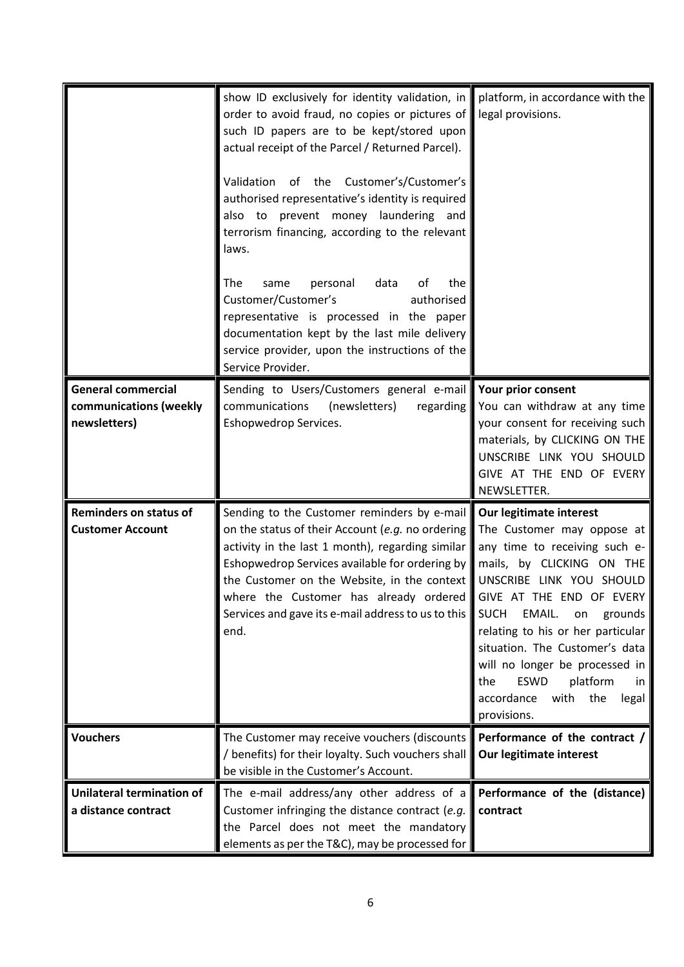|                                                                     | show ID exclusively for identity validation, in<br>order to avoid fraud, no copies or pictures of<br>such ID papers are to be kept/stored upon<br>actual receipt of the Parcel / Returned Parcel).<br>Validation of the Customer's/Customer's<br>authorised representative's identity is required<br>also to prevent money laundering and<br>terrorism financing, according to the relevant<br>laws. | platform, in accordance with the<br>legal provisions.                                                                                                                                                                                                                                                                                                                                                                        |
|---------------------------------------------------------------------|------------------------------------------------------------------------------------------------------------------------------------------------------------------------------------------------------------------------------------------------------------------------------------------------------------------------------------------------------------------------------------------------------|------------------------------------------------------------------------------------------------------------------------------------------------------------------------------------------------------------------------------------------------------------------------------------------------------------------------------------------------------------------------------------------------------------------------------|
|                                                                     | personal<br>The<br>data<br>the<br>same<br>ot<br>Customer/Customer's<br>authorised<br>representative is processed in the paper<br>documentation kept by the last mile delivery<br>service provider, upon the instructions of the<br>Service Provider.                                                                                                                                                 |                                                                                                                                                                                                                                                                                                                                                                                                                              |
| <b>General commercial</b><br>communications (weekly<br>newsletters) | Sending to Users/Customers general e-mail<br>communications<br>(newsletters)<br>regarding<br>Eshopwedrop Services.                                                                                                                                                                                                                                                                                   | Your prior consent<br>You can withdraw at any time<br>your consent for receiving such<br>materials, by CLICKING ON THE<br>UNSCRIBE LINK YOU SHOULD<br>GIVE AT THE END OF EVERY<br>NEWSLETTER.                                                                                                                                                                                                                                |
| <b>Reminders on status of</b><br><b>Customer Account</b>            | Sending to the Customer reminders by e-mail<br>on the status of their Account (e.g. no ordering<br>activity in the last 1 month), regarding similar<br>Eshopwedrop Services available for ordering by<br>the Customer on the Website, in the context<br>where the Customer has already ordered<br>Services and gave its e-mail address to us to this<br>end.                                         | Our legitimate interest<br>The Customer may oppose at<br>any time to receiving such e-<br>mails, by CLICKING ON THE<br>UNSCRIBE LINK YOU SHOULD<br>GIVE AT THE END OF EVERY<br><b>SUCH</b><br>EMAIL.<br>grounds<br>on<br>relating to his or her particular<br>situation. The Customer's data<br>will no longer be processed in<br>platform<br><b>ESWD</b><br>the<br>in.<br>accordance<br>with<br>the<br>legal<br>provisions. |
| <b>Vouchers</b>                                                     | The Customer may receive vouchers (discounts<br>/ benefits) for their loyalty. Such vouchers shall<br>be visible in the Customer's Account.                                                                                                                                                                                                                                                          | Performance of the contract /<br>Our legitimate interest                                                                                                                                                                                                                                                                                                                                                                     |
| Unilateral termination of<br>a distance contract                    | The e-mail address/any other address of a<br>Customer infringing the distance contract (e.g.<br>the Parcel does not meet the mandatory<br>elements as per the T&C), may be processed for                                                                                                                                                                                                             | Performance of the (distance)<br>contract                                                                                                                                                                                                                                                                                                                                                                                    |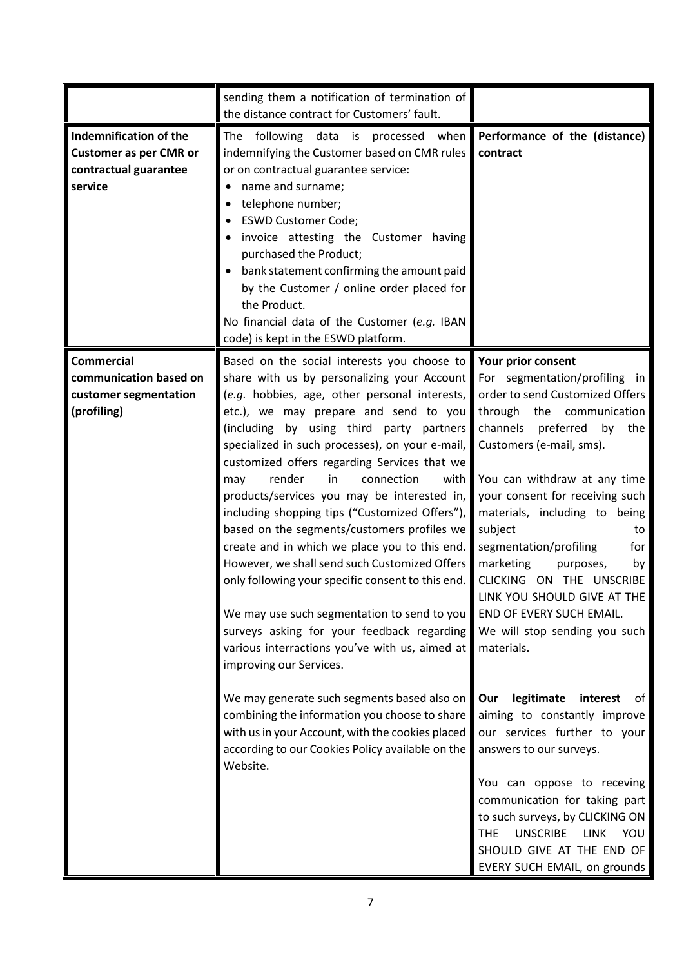|                                                                                             | sending them a notification of termination of<br>the distance contract for Customers' fault.                                                                                                                                                                                                                                                                                                                                                                                                                                                                                                                                                                                                                                                                                                                                                                                                                                |                                                                                                                                                                                                                                                                                                                                                                                                                                                               |
|---------------------------------------------------------------------------------------------|-----------------------------------------------------------------------------------------------------------------------------------------------------------------------------------------------------------------------------------------------------------------------------------------------------------------------------------------------------------------------------------------------------------------------------------------------------------------------------------------------------------------------------------------------------------------------------------------------------------------------------------------------------------------------------------------------------------------------------------------------------------------------------------------------------------------------------------------------------------------------------------------------------------------------------|---------------------------------------------------------------------------------------------------------------------------------------------------------------------------------------------------------------------------------------------------------------------------------------------------------------------------------------------------------------------------------------------------------------------------------------------------------------|
| Indemnification of the<br><b>Customer as per CMR or</b><br>contractual guarantee<br>service | following data is processed when<br>The<br>indemnifying the Customer based on CMR rules<br>or on contractual guarantee service:<br>name and surname;<br>telephone number;<br><b>ESWD Customer Code;</b><br>invoice attesting the Customer having<br>purchased the Product;<br>bank statement confirming the amount paid<br>by the Customer / online order placed for<br>the Product.<br>No financial data of the Customer (e.g. IBAN<br>code) is kept in the ESWD platform.                                                                                                                                                                                                                                                                                                                                                                                                                                                 | Performance of the (distance)<br>contract                                                                                                                                                                                                                                                                                                                                                                                                                     |
| <b>Commercial</b><br>communication based on<br>customer segmentation<br>(profiling)         | Based on the social interests you choose to <b>Your prior consent</b><br>share with us by personalizing your Account For segmentation/profiling in<br>(e.g. hobbies, age, other personal interests,<br>etc.), we may prepare and send to you<br>(including by using third party partners<br>specialized in such processes), on your e-mail,  <br>customized offers regarding Services that we<br>render<br>in<br>connection<br>with<br>may<br>products/services you may be interested in,<br>including shopping tips ("Customized Offers"),<br>based on the segments/customers profiles we<br>create and in which we place you to this end.<br>However, we shall send such Customized Offers<br>only following your specific consent to this end.<br>We may use such segmentation to send to you<br>surveys asking for your feedback regarding<br>various interractions you've with us, aimed at<br>improving our Services. | order to send Customized Offers<br>through the<br>communication<br>channels<br>preferred<br>the<br>by<br>Customers (e-mail, sms).<br>You can withdraw at any time<br>your consent for receiving such<br>materials, including to being<br>subject<br>to<br>segmentation/profiling<br>for<br>marketing<br>purposes,<br>by<br>CLICKING ON THE UNSCRIBE<br>LINK YOU SHOULD GIVE AT THE<br>END OF EVERY SUCH EMAIL.<br>We will stop sending you such<br>materials. |
|                                                                                             | We may generate such segments based also on<br>combining the information you choose to share<br>with us in your Account, with the cookies placed<br>according to our Cookies Policy available on the<br>Website.                                                                                                                                                                                                                                                                                                                                                                                                                                                                                                                                                                                                                                                                                                            | Our<br>legitimate<br>interest<br>of<br>aiming to constantly improve<br>our services further to your<br>answers to our surveys.<br>You can oppose to receving<br>communication for taking part<br>to such surveys, by CLICKING ON<br><b>UNSCRIBE</b><br><b>THE</b><br><b>LINK</b><br>YOU<br>SHOULD GIVE AT THE END OF<br>EVERY SUCH EMAIL, on grounds                                                                                                          |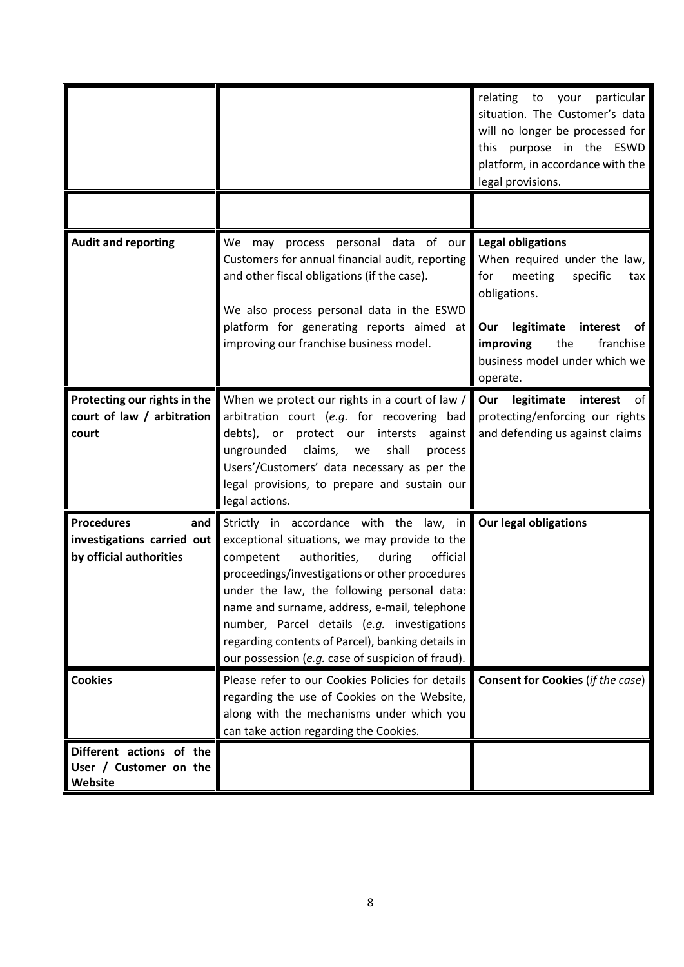|                                                                                   |                                                                                                                                                                                                                                                                                                                                                                                                                                                       | relating<br>to<br>your<br>particular<br>situation. The Customer's data<br>will no longer be processed for<br>this purpose in the ESWD<br>platform, in accordance with the<br>legal provisions.                                     |
|-----------------------------------------------------------------------------------|-------------------------------------------------------------------------------------------------------------------------------------------------------------------------------------------------------------------------------------------------------------------------------------------------------------------------------------------------------------------------------------------------------------------------------------------------------|------------------------------------------------------------------------------------------------------------------------------------------------------------------------------------------------------------------------------------|
|                                                                                   |                                                                                                                                                                                                                                                                                                                                                                                                                                                       |                                                                                                                                                                                                                                    |
| <b>Audit and reporting</b>                                                        | We may process personal data of our<br>Customers for annual financial audit, reporting<br>and other fiscal obligations (if the case).<br>We also process personal data in the ESWD<br>platform for generating reports aimed at<br>improving our franchise business model.                                                                                                                                                                             | <b>Legal obligations</b><br>When required under the law,<br>for<br>meeting<br>specific<br>tax<br>obligations.<br>legitimate<br>interest<br>Our<br>0t<br>the<br>franchise<br>improving<br>business model under which we<br>operate. |
| Protecting our rights in the<br>court of law / arbitration<br>court               | When we protect our rights in a court of law $\sqrt{\parallel}$<br>arbitration court (e.g. for recovering bad<br>debts), or protect our intersts<br>against<br>claims,<br>shall<br>ungrounded<br>process<br>we<br>Users'/Customers' data necessary as per the<br>legal provisions, to prepare and sustain our<br>legal actions.                                                                                                                       | Our<br>legitimate<br>interest<br>.ot<br>protecting/enforcing our rights<br>and defending us against claims                                                                                                                         |
| <b>Procedures</b><br>and<br>investigations carried out<br>by official authorities | Strictly in accordance with the law, in<br>exceptional situations, we may provide to the<br>authorities,<br>during<br>official<br>competent<br>proceedings/investigations or other procedures<br>under the law, the following personal data:<br>name and surname, address, e-mail, telephone<br>number, Parcel details (e.g. investigations<br>regarding contents of Parcel), banking details in<br>our possession (e.g. case of suspicion of fraud). | <b>Our legal obligations</b>                                                                                                                                                                                                       |
| <b>Cookies</b>                                                                    | Please refer to our Cookies Policies for details<br>regarding the use of Cookies on the Website,<br>along with the mechanisms under which you<br>can take action regarding the Cookies.                                                                                                                                                                                                                                                               | <b>Consent for Cookies (if the case)</b>                                                                                                                                                                                           |
| Different actions of the<br>User / Customer on the<br>Website                     |                                                                                                                                                                                                                                                                                                                                                                                                                                                       |                                                                                                                                                                                                                                    |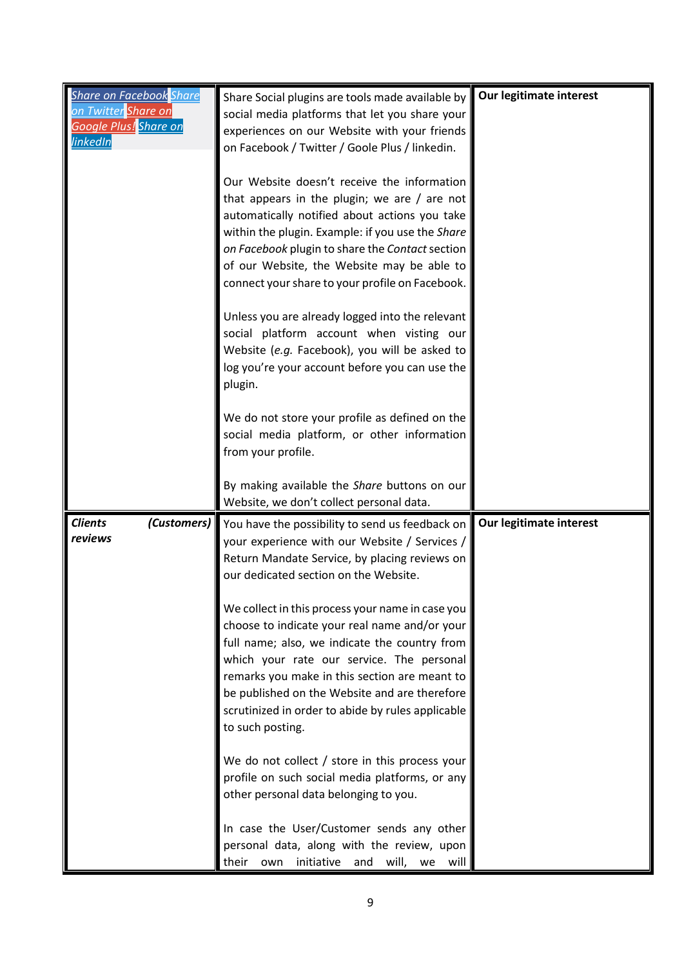| <b>Share on Facebook</b> Share | Share Social plugins are tools made available by                                                             | Our legitimate interest |
|--------------------------------|--------------------------------------------------------------------------------------------------------------|-------------------------|
| on Twitter Share on            | social media platforms that let you share your                                                               |                         |
| Google Plus! Share on          |                                                                                                              |                         |
| linkedIn                       | experiences on our Website with your friends                                                                 |                         |
|                                | on Facebook / Twitter / Goole Plus / linkedin.                                                               |                         |
|                                |                                                                                                              |                         |
|                                | Our Website doesn't receive the information                                                                  |                         |
|                                | that appears in the plugin; we are $/$ are not                                                               |                         |
|                                | automatically notified about actions you take                                                                |                         |
|                                | within the plugin. Example: if you use the Share                                                             |                         |
|                                | on Facebook plugin to share the Contact section                                                              |                         |
|                                | of our Website, the Website may be able to                                                                   |                         |
|                                | connect your share to your profile on Facebook.                                                              |                         |
|                                |                                                                                                              |                         |
|                                | Unless you are already logged into the relevant                                                              |                         |
|                                | social platform account when visting our                                                                     |                         |
|                                | Website (e.g. Facebook), you will be asked to                                                                |                         |
|                                | log you're your account before you can use the                                                               |                         |
|                                | plugin.                                                                                                      |                         |
|                                |                                                                                                              |                         |
|                                | We do not store your profile as defined on the                                                               |                         |
|                                | social media platform, or other information                                                                  |                         |
|                                | from your profile.                                                                                           |                         |
|                                |                                                                                                              |                         |
|                                |                                                                                                              |                         |
|                                | By making available the Share buttons on our                                                                 |                         |
|                                | Website, we don't collect personal data.                                                                     |                         |
| <b>Clients</b>                 |                                                                                                              | Our legitimate interest |
| reviews                        | (Customers) You have the possibility to send us feedback on<br>your experience with our Website / Services / |                         |
|                                | Return Mandate Service, by placing reviews on                                                                |                         |
|                                | our dedicated section on the Website.                                                                        |                         |
|                                |                                                                                                              |                         |
|                                | We collect in this process your name in case you                                                             |                         |
|                                | choose to indicate your real name and/or your                                                                |                         |
|                                | full name; also, we indicate the country from                                                                |                         |
|                                | which your rate our service. The personal                                                                    |                         |
|                                | remarks you make in this section are meant to                                                                |                         |
|                                | be published on the Website and are therefore                                                                |                         |
|                                | scrutinized in order to abide by rules applicable                                                            |                         |
|                                | to such posting.                                                                                             |                         |
|                                |                                                                                                              |                         |
|                                | We do not collect / store in this process your                                                               |                         |
|                                | profile on such social media platforms, or any                                                               |                         |
|                                | other personal data belonging to you.                                                                        |                         |
|                                |                                                                                                              |                         |
|                                | In case the User/Customer sends any other                                                                    |                         |
|                                | personal data, along with the review, upon<br>their<br>initiative<br>will,<br>and<br>own<br>will<br>we       |                         |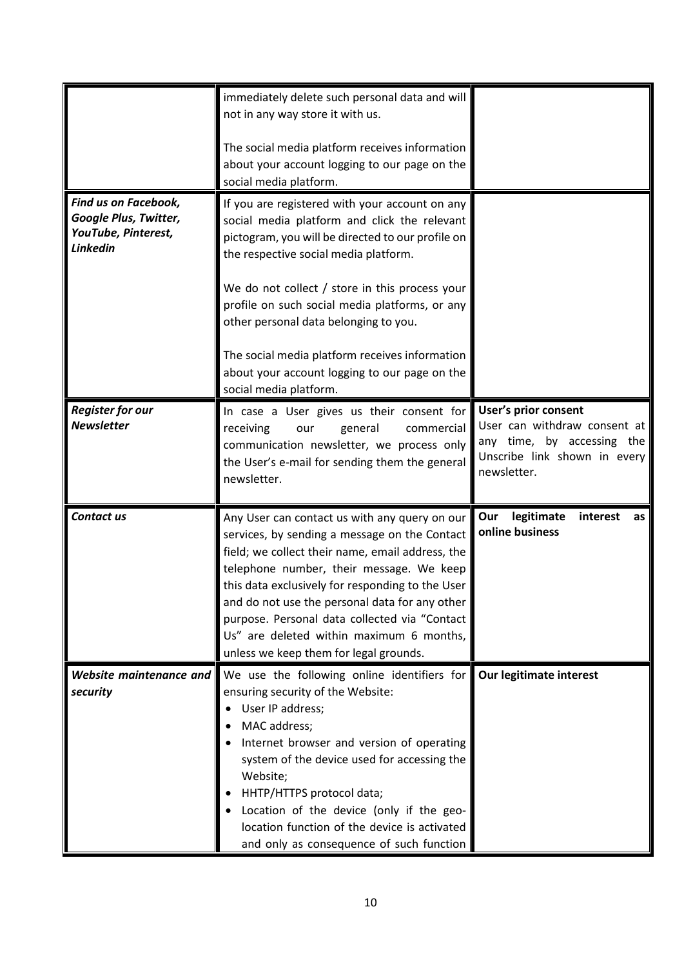|                                              | immediately delete such personal data and will<br>not in any way store it with us.          |                                                      |
|----------------------------------------------|---------------------------------------------------------------------------------------------|------------------------------------------------------|
|                                              |                                                                                             |                                                      |
|                                              | The social media platform receives information                                              |                                                      |
|                                              | about your account logging to our page on the                                               |                                                      |
|                                              | social media platform.                                                                      |                                                      |
| Find us on Facebook,                         | If you are registered with your account on any                                              |                                                      |
| Google Plus, Twitter,                        | social media platform and click the relevant                                                |                                                      |
| YouTube, Pinterest,<br><b>Linkedin</b>       | pictogram, you will be directed to our profile on                                           |                                                      |
|                                              | the respective social media platform.                                                       |                                                      |
|                                              | We do not collect / store in this process your                                              |                                                      |
|                                              | profile on such social media platforms, or any                                              |                                                      |
|                                              | other personal data belonging to you.                                                       |                                                      |
|                                              |                                                                                             |                                                      |
|                                              | The social media platform receives information                                              |                                                      |
|                                              | about your account logging to our page on the                                               |                                                      |
|                                              | social media platform.                                                                      |                                                      |
| <b>Register for our</b><br><b>Newsletter</b> | In case a User gives us their consent for                                                   | User's prior consent<br>User can withdraw consent at |
|                                              | receiving<br>general<br>commercial<br>our                                                   | any time, by accessing the                           |
|                                              | communication newsletter, we process only<br>the User's e-mail for sending them the general | Unscribe link shown in every                         |
|                                              | newsletter.                                                                                 | newsletter.                                          |
|                                              |                                                                                             |                                                      |
|                                              |                                                                                             |                                                      |
| Contact us                                   | Any User can contact us with any query on our                                               | legitimate<br>Our<br>interest<br>as                  |
|                                              | services, by sending a message on the Contact                                               | online business                                      |
|                                              | field; we collect their name, email address, the                                            |                                                      |
|                                              | telephone number, their message. We keep                                                    |                                                      |
|                                              | this data exclusively for responding to the User                                            |                                                      |
|                                              | and do not use the personal data for any other $\parallel$                                  |                                                      |
|                                              | purpose. Personal data collected via "Contact                                               |                                                      |
|                                              | Us" are deleted within maximum 6 months,<br>unless we keep them for legal grounds.          |                                                      |
| Website maintenance and                      | We use the following online identifiers for                                                 | Our legitimate interest                              |
| security                                     | ensuring security of the Website:                                                           |                                                      |
|                                              | User IP address;                                                                            |                                                      |
|                                              | MAC address;                                                                                |                                                      |
|                                              | Internet browser and version of operating                                                   |                                                      |
|                                              | system of the device used for accessing the                                                 |                                                      |
|                                              | Website;                                                                                    |                                                      |
|                                              | HHTP/HTTPS protocol data;                                                                   |                                                      |
|                                              | Location of the device (only if the geo-<br>location function of the device is activated    |                                                      |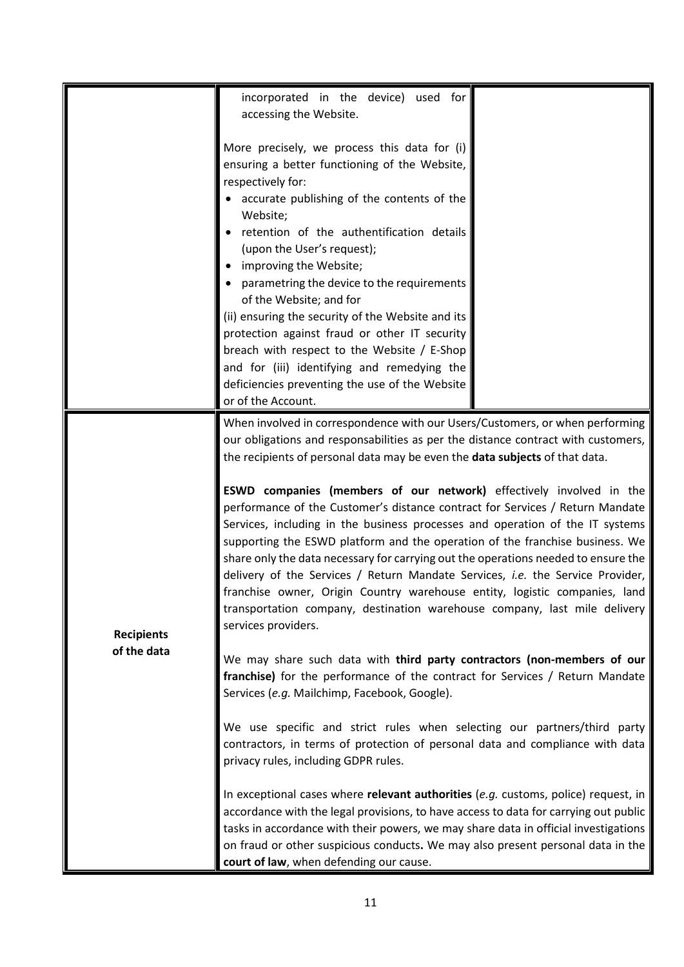|                   | incorporated in the device) used for<br>accessing the Website.                                                                                                                                                                                                                                                                                                                                                                                                                                                                                                                                                                                                                                                                                                                                                                                                                                                                      |
|-------------------|-------------------------------------------------------------------------------------------------------------------------------------------------------------------------------------------------------------------------------------------------------------------------------------------------------------------------------------------------------------------------------------------------------------------------------------------------------------------------------------------------------------------------------------------------------------------------------------------------------------------------------------------------------------------------------------------------------------------------------------------------------------------------------------------------------------------------------------------------------------------------------------------------------------------------------------|
|                   | More precisely, we process this data for (i)<br>ensuring a better functioning of the Website,<br>respectively for:<br>accurate publishing of the contents of the<br>Website;<br>retention of the authentification details<br>(upon the User's request);<br>improving the Website;<br>parametring the device to the requirements<br>of the Website; and for<br>(ii) ensuring the security of the Website and its<br>protection against fraud or other IT security<br>breach with respect to the Website / E-Shop<br>and for (iii) identifying and remedying the<br>deficiencies preventing the use of the Website<br>or of the Account.                                                                                                                                                                                                                                                                                              |
| <b>Recipients</b> | When involved in correspondence with our Users/Customers, or when performing<br>our obligations and responsabilities as per the distance contract with customers,<br>the recipients of personal data may be even the data subjects of that data.<br>ESWD companies (members of our network) effectively involved in the<br>performance of the Customer's distance contract for Services / Return Mandate<br>Services, including in the business processes and operation of the IT systems<br>supporting the ESWD platform and the operation of the franchise business. We<br>share only the data necessary for carrying out the operations needed to ensure the<br>delivery of the Services / Return Mandate Services, i.e. the Service Provider,<br>franchise owner, Origin Country warehouse entity, logistic companies, land<br>transportation company, destination warehouse company, last mile delivery<br>services providers. |
| of the data       | We may share such data with third party contractors (non-members of our<br>franchise) for the performance of the contract for Services / Return Mandate<br>Services (e.g. Mailchimp, Facebook, Google).                                                                                                                                                                                                                                                                                                                                                                                                                                                                                                                                                                                                                                                                                                                             |
|                   | We use specific and strict rules when selecting our partners/third party<br>contractors, in terms of protection of personal data and compliance with data<br>privacy rules, including GDPR rules.                                                                                                                                                                                                                                                                                                                                                                                                                                                                                                                                                                                                                                                                                                                                   |
|                   | In exceptional cases where relevant authorities (e.g. customs, police) request, in<br>accordance with the legal provisions, to have access to data for carrying out public<br>tasks in accordance with their powers, we may share data in official investigations<br>on fraud or other suspicious conducts. We may also present personal data in the<br>court of law, when defending our cause.                                                                                                                                                                                                                                                                                                                                                                                                                                                                                                                                     |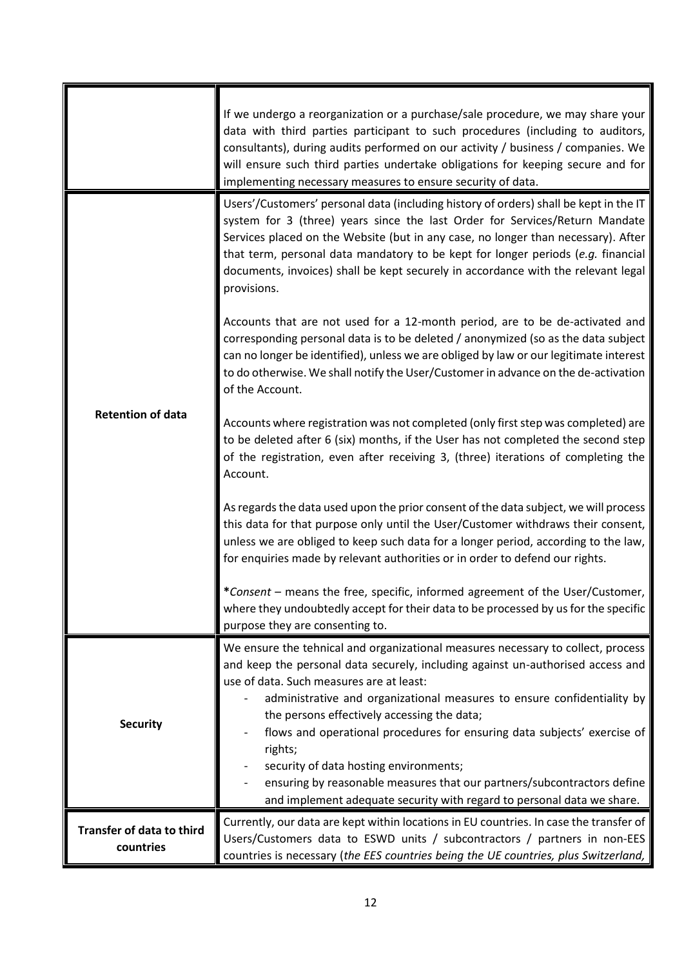|                                               | If we undergo a reorganization or a purchase/sale procedure, we may share your<br>data with third parties participant to such procedures (including to auditors,<br>consultants), during audits performed on our activity / business / companies. We<br>will ensure such third parties undertake obligations for keeping secure and for<br>implementing necessary measures to ensure security of data.                                            |
|-----------------------------------------------|---------------------------------------------------------------------------------------------------------------------------------------------------------------------------------------------------------------------------------------------------------------------------------------------------------------------------------------------------------------------------------------------------------------------------------------------------|
| <b>Retention of data</b>                      | Users'/Customers' personal data (including history of orders) shall be kept in the IT<br>system for 3 (three) years since the last Order for Services/Return Mandate<br>Services placed on the Website (but in any case, no longer than necessary). After<br>that term, personal data mandatory to be kept for longer periods (e.g. financial<br>documents, invoices) shall be kept securely in accordance with the relevant legal<br>provisions. |
|                                               | Accounts that are not used for a 12-month period, are to be de-activated and<br>corresponding personal data is to be deleted / anonymized (so as the data subject<br>can no longer be identified), unless we are obliged by law or our legitimate interest<br>to do otherwise. We shall notify the User/Customer in advance on the de-activation<br>of the Account.                                                                               |
|                                               | Accounts where registration was not completed (only first step was completed) are<br>to be deleted after 6 (six) months, if the User has not completed the second step<br>of the registration, even after receiving 3, (three) iterations of completing the<br>Account.                                                                                                                                                                           |
|                                               | As regards the data used upon the prior consent of the data subject, we will process<br>this data for that purpose only until the User/Customer withdraws their consent,<br>unless we are obliged to keep such data for a longer period, according to the law,<br>for enquiries made by relevant authorities or in order to defend our rights.                                                                                                    |
|                                               | *Consent - means the free, specific, informed agreement of the User/Customer,<br>where they undoubtedly accept for their data to be processed by us for the specific<br>purpose they are consenting to.                                                                                                                                                                                                                                           |
|                                               | We ensure the tehnical and organizational measures necessary to collect, process<br>and keep the personal data securely, including against un-authorised access and<br>use of data. Such measures are at least:<br>administrative and organizational measures to ensure confidentiality by<br>the persons effectively accessing the data;                                                                                                         |
| <b>Security</b>                               | flows and operational procedures for ensuring data subjects' exercise of<br>rights;<br>security of data hosting environments;<br>ensuring by reasonable measures that our partners/subcontractors define<br>and implement adequate security with regard to personal data we share.                                                                                                                                                                |
| <b>Transfer of data to third</b><br>countries | Currently, our data are kept within locations in EU countries. In case the transfer of<br>Users/Customers data to ESWD units / subcontractors / partners in non-EES<br>countries is necessary (the EES countries being the UE countries, plus Switzerland,                                                                                                                                                                                        |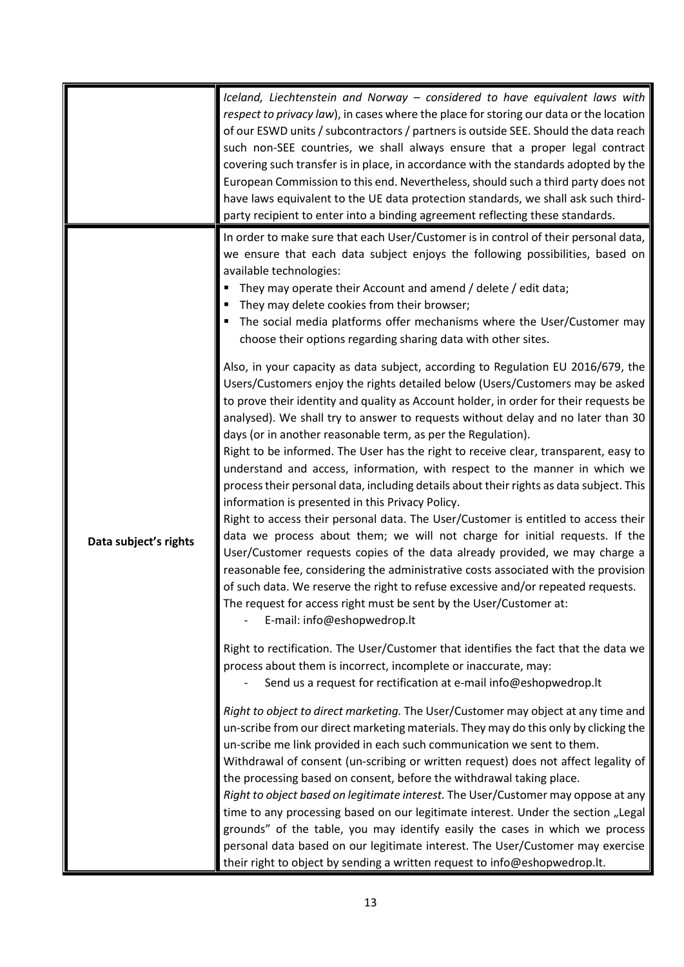|                       | Iceland, Liechtenstein and Norway - considered to have equivalent laws with<br>respect to privacy law), in cases where the place for storing our data or the location<br>of our ESWD units / subcontractors / partners is outside SEE. Should the data reach<br>such non-SEE countries, we shall always ensure that a proper legal contract<br>covering such transfer is in place, in accordance with the standards adopted by the<br>European Commission to this end. Nevertheless, should such a third party does not<br>have laws equivalent to the UE data protection standards, we shall ask such third-<br>party recipient to enter into a binding agreement reflecting these standards.                                                                                                                                                                                                                                                                                                                                                                                                                                                                                                                                                                                                                                                                                                                                                                                                                                                                                                                                                                                                                                        |
|-----------------------|---------------------------------------------------------------------------------------------------------------------------------------------------------------------------------------------------------------------------------------------------------------------------------------------------------------------------------------------------------------------------------------------------------------------------------------------------------------------------------------------------------------------------------------------------------------------------------------------------------------------------------------------------------------------------------------------------------------------------------------------------------------------------------------------------------------------------------------------------------------------------------------------------------------------------------------------------------------------------------------------------------------------------------------------------------------------------------------------------------------------------------------------------------------------------------------------------------------------------------------------------------------------------------------------------------------------------------------------------------------------------------------------------------------------------------------------------------------------------------------------------------------------------------------------------------------------------------------------------------------------------------------------------------------------------------------------------------------------------------------|
| Data subject's rights | In order to make sure that each User/Customer is in control of their personal data,<br>we ensure that each data subject enjoys the following possibilities, based on<br>available technologies:<br>They may operate their Account and amend / delete / edit data;<br>They may delete cookies from their browser;<br>The social media platforms offer mechanisms where the User/Customer may<br>choose their options regarding sharing data with other sites.<br>Also, in your capacity as data subject, according to Regulation EU 2016/679, the<br>Users/Customers enjoy the rights detailed below (Users/Customers may be asked<br>to prove their identity and quality as Account holder, in order for their requests be<br>analysed). We shall try to answer to requests without delay and no later than 30<br>days (or in another reasonable term, as per the Regulation).<br>Right to be informed. The User has the right to receive clear, transparent, easy to<br>understand and access, information, with respect to the manner in which we<br>process their personal data, including details about their rights as data subject. This<br>information is presented in this Privacy Policy.<br>Right to access their personal data. The User/Customer is entitled to access their<br>data we process about them; we will not charge for initial requests. If the<br>User/Customer requests copies of the data already provided, we may charge a<br>reasonable fee, considering the administrative costs associated with the provision<br>of such data. We reserve the right to refuse excessive and/or repeated requests.<br>The request for access right must be sent by the User/Customer at:<br>E-mail: info@eshopwedrop.lt |
|                       | Right to rectification. The User/Customer that identifies the fact that the data we<br>process about them is incorrect, incomplete or inaccurate, may:<br>Send us a request for rectification at e-mail info@eshopwedrop.lt<br>Right to object to direct marketing. The User/Customer may object at any time and<br>un-scribe from our direct marketing materials. They may do this only by clicking the<br>un-scribe me link provided in each such communication we sent to them.<br>Withdrawal of consent (un-scribing or written request) does not affect legality of<br>the processing based on consent, before the withdrawal taking place.<br>Right to object based on legitimate interest. The User/Customer may oppose at any<br>time to any processing based on our legitimate interest. Under the section "Legal<br>grounds" of the table, you may identify easily the cases in which we process<br>personal data based on our legitimate interest. The User/Customer may exercise<br>their right to object by sending a written request to info@eshopwedrop.lt.                                                                                                                                                                                                                                                                                                                                                                                                                                                                                                                                                                                                                                                            |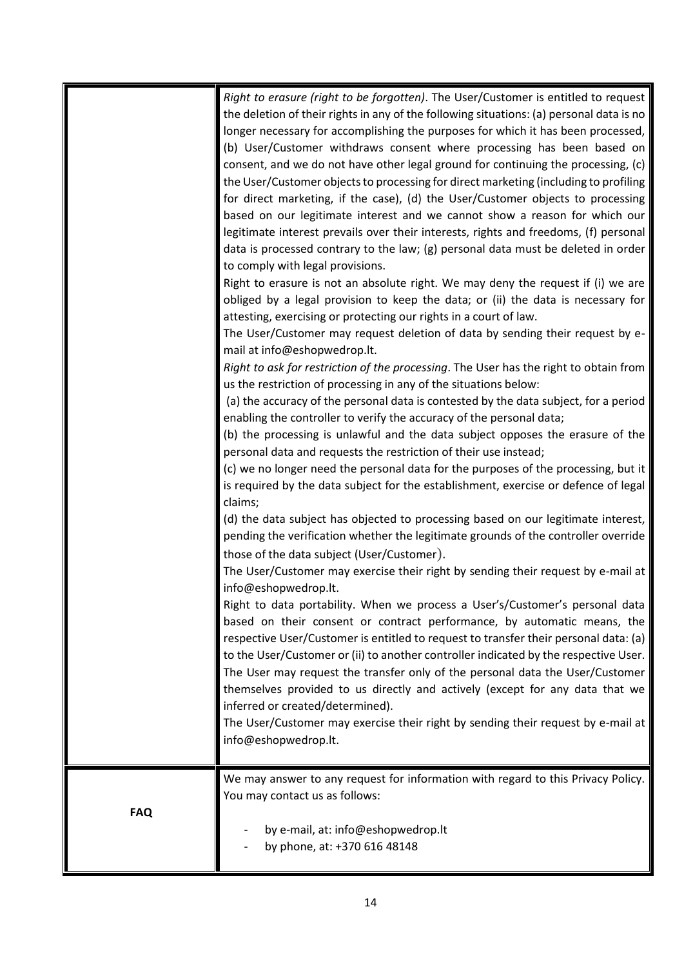|            | Right to erasure (right to be forgotten). The User/Customer is entitled to request       |
|------------|------------------------------------------------------------------------------------------|
|            | the deletion of their rights in any of the following situations: (a) personal data is no |
|            | longer necessary for accomplishing the purposes for which it has been processed,         |
|            | (b) User/Customer withdraws consent where processing has been based on                   |
|            | consent, and we do not have other legal ground for continuing the processing, (c)        |
|            | the User/Customer objects to processing for direct marketing (including to profiling     |
|            | for direct marketing, if the case), (d) the User/Customer objects to processing          |
|            | based on our legitimate interest and we cannot show a reason for which our               |
|            | legitimate interest prevails over their interests, rights and freedoms, (f) personal     |
|            | data is processed contrary to the law; (g) personal data must be deleted in order        |
|            | to comply with legal provisions.                                                         |
|            | Right to erasure is not an absolute right. We may deny the request if (i) we are         |
|            | obliged by a legal provision to keep the data; or (ii) the data is necessary for         |
|            | attesting, exercising or protecting our rights in a court of law.                        |
|            | The User/Customer may request deletion of data by sending their request by e-            |
|            | mail at info@eshopwedrop.lt.                                                             |
|            | Right to ask for restriction of the processing. The User has the right to obtain from    |
|            | us the restriction of processing in any of the situations below:                         |
|            | (a) the accuracy of the personal data is contested by the data subject, for a period     |
|            | enabling the controller to verify the accuracy of the personal data;                     |
|            | (b) the processing is unlawful and the data subject opposes the erasure of the           |
|            | personal data and requests the restriction of their use instead;                         |
|            | (c) we no longer need the personal data for the purposes of the processing, but it       |
|            | is required by the data subject for the establishment, exercise or defence of legal      |
|            | claims;                                                                                  |
|            | (d) the data subject has objected to processing based on our legitimate interest,        |
|            | pending the verification whether the legitimate grounds of the controller override       |
|            | those of the data subject (User/Customer).                                               |
|            | The User/Customer may exercise their right by sending their request by e-mail at         |
|            | info@eshopwedrop.lt.                                                                     |
|            | Right to data portability. When we process a User's/Customer's personal data             |
|            | based on their consent or contract performance, by automatic means, the                  |
|            | respective User/Customer is entitled to request to transfer their personal data: (a)     |
|            | to the User/Customer or (ii) to another controller indicated by the respective User.     |
|            | The User may request the transfer only of the personal data the User/Customer            |
|            |                                                                                          |
|            | themselves provided to us directly and actively (except for any data that we             |
|            | inferred or created/determined).                                                         |
|            | The User/Customer may exercise their right by sending their request by e-mail at         |
|            | info@eshopwedrop.lt.                                                                     |
|            |                                                                                          |
|            | We may answer to any request for information with regard to this Privacy Policy.         |
| <b>FAQ</b> | You may contact us as follows:                                                           |
|            | by e-mail, at: info@eshopwedrop.lt                                                       |
|            | by phone, at: +370 616 48148                                                             |
|            |                                                                                          |
|            |                                                                                          |